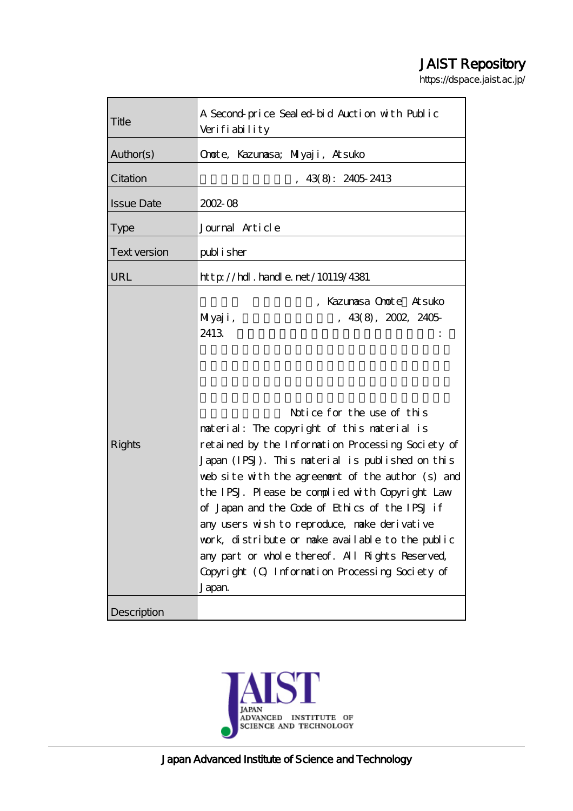# JAIST Repository

https://dspace.jaist.ac.jp/

| Title               | A Second price Sealed bid Auction with Public<br>Verifiability                                                                                                                                                                                                                                                                                                                                                                                                                                                                                                                                                                     |
|---------------------|------------------------------------------------------------------------------------------------------------------------------------------------------------------------------------------------------------------------------------------------------------------------------------------------------------------------------------------------------------------------------------------------------------------------------------------------------------------------------------------------------------------------------------------------------------------------------------------------------------------------------------|
| Author(s)           | Onote, Kazumasa; Milyaji, Atsuko                                                                                                                                                                                                                                                                                                                                                                                                                                                                                                                                                                                                   |
| Citation            | 43(8): 2405 2413                                                                                                                                                                                                                                                                                                                                                                                                                                                                                                                                                                                                                   |
| <b>Issue Date</b>   | $2002 - 08$                                                                                                                                                                                                                                                                                                                                                                                                                                                                                                                                                                                                                        |
| <b>Type</b>         | Journal Article                                                                                                                                                                                                                                                                                                                                                                                                                                                                                                                                                                                                                    |
| <b>Text version</b> | publisher                                                                                                                                                                                                                                                                                                                                                                                                                                                                                                                                                                                                                          |
| URL                 | http://hdl.handle.net/10119/4381                                                                                                                                                                                                                                                                                                                                                                                                                                                                                                                                                                                                   |
| <b>Rights</b>       | , Kazumasa Onote Atsuko<br>43(8), 2002, 2405<br>MIyaji,<br>2413<br>Notice for the use of this<br>material: The copyright of this material is<br>retained by the Information Processing Society of<br>Japan (IPSJ). This material is published on this<br>web site with the agreement of the author (s) and<br>the IPSJ. Please be complied with Copyright Law<br>of Japan and the Code of Ethics of the IPSJ if<br>any users wish to reproduce, make derivative<br>work, distribute or make available to the public<br>any part or whole thereof. All Rights Reserved,<br>Copyright (C) Information Processing Society of<br>Japan |
| Description         |                                                                                                                                                                                                                                                                                                                                                                                                                                                                                                                                                                                                                                    |

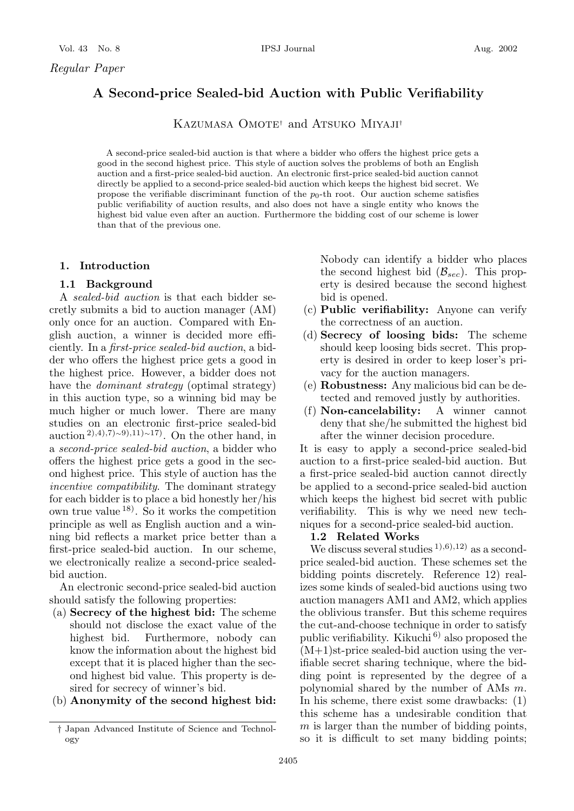# **A Second-price Sealed-bid Auction with Public Verifiability**

KAZUMASA OMOTE<sup>†</sup> and ATSUKO MIYAJI<sup>†</sup>

A second-price sealed-bid auction is that where a bidder who offers the highest price gets a good in the second highest price. This style of auction solves the problems of both an English auction and a first-price sealed-bid auction. An electronic first-price sealed-bid auction cannot directly be applied to a second-price sealed-bid auction which keeps the highest bid secret. We propose the verifiable discriminant function of the  $p_0$ -th root. Our auction scheme satisfies public verifiability of auction results, and also does not have a single entity who knows the highest bid value even after an auction. Furthermore the bidding cost of our scheme is lower than that of the previous one.

# **1. Introduction**

# **1.1 Background**

A *sealed-bid auction* is that each bidder secretly submits a bid to auction manager (AM) only once for an auction. Compared with English auction, a winner is decided more efficiently. In a *first-price sealed-bid auction*, a bidder who offers the highest price gets a good in the highest price. However, a bidder does not have the *dominant strategy* (optimal strategy) in this auction type, so a winning bid may be much higher or much lower. There are many studies on an electronic first-price sealed-bid auction<sup>2),4),7)∼9),11)∼17)</sup>. On the other hand, in a *second-price sealed-bid auction*, a bidder who offers the highest price gets a good in the second highest price. This style of auction has the *incentive compatibility*. The dominant strategy for each bidder is to place a bid honestly her/his own true value  $^{18}$ . So it works the competition principle as well as English auction and a winning bid reflects a market price better than a first-price sealed-bid auction. In our scheme, we electronically realize a second-price sealedbid auction.

An electronic second-price sealed-bid auction should satisfy the following properties:

- (a) **Secrecy of the highest bid:** The scheme should not disclose the exact value of the highest bid. Furthermore, nobody can know the information about the highest bid except that it is placed higher than the second highest bid value. This property is desired for secrecy of winner's bid.
- (b) **Anonymity of the second highest bid:**

Nobody can identify a bidder who places the second highest bid  $(\mathcal{B}_{sec})$ . This property is desired because the second highest bid is opened.

- (c) **Public verifiability:** Anyone can verify the correctness of an auction.
- (d) **Secrecy of loosing bids:** The scheme should keep loosing bids secret. This property is desired in order to keep loser's privacy for the auction managers.
- (e) **Robustness:** Any malicious bid can be detected and removed justly by authorities.
- (f) **Non-cancelability:** A winner cannot deny that she/he submitted the highest bid after the winner decision procedure.

It is easy to apply a second-price sealed-bid auction to a first-price sealed-bid auction. But a first-price sealed-bid auction cannot directly be applied to a second-price sealed-bid auction which keeps the highest bid secret with public verifiability. This is why we need new techniques for a second-price sealed-bid auction.

#### **1.2 Related Works**

We discuss several studies  $(1), (6), (12)$  as a secondprice sealed-bid auction. These schemes set the bidding points discretely. Reference 12) realizes some kinds of sealed-bid auctions using two auction managers AM1 and AM2, which applies the oblivious transfer. But this scheme requires the cut-and-choose technique in order to satisfy public verifiability. Kikuchi 6) also proposed the  $(M+1)$ st-price sealed-bid auction using the verifiable secret sharing technique, where the bidding point is represented by the degree of a polynomial shared by the number of AMs m. In his scheme, there exist some drawbacks: (1) this scheme has a undesirable condition that  $m$  is larger than the number of bidding points, so it is difficult to set many bidding points;

<sup>†</sup> Japan Advanced Institute of Science and Technology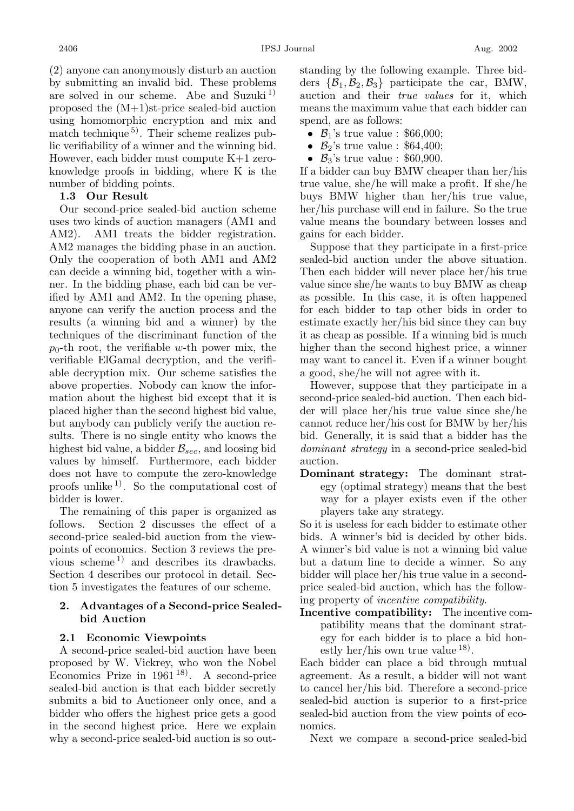(2) anyone can anonymously disturb an auction by submitting an invalid bid. These problems are solved in our scheme. Abe and Suzuki<sup>1)</sup> proposed the (M+1)st-price sealed-bid auction using homomorphic encryption and mix and match technique<sup>5</sup>. Their scheme realizes public verifiability of a winner and the winning bid. However, each bidder must compute K+1 zeroknowledge proofs in bidding, where K is the number of bidding points.

# **1.3 Our Result**

Our second-price sealed-bid auction scheme uses two kinds of auction managers (AM1 and AM2). AM1 treats the bidder registration. AM2 manages the bidding phase in an auction. Only the cooperation of both AM1 and AM2 can decide a winning bid, together with a winner. In the bidding phase, each bid can be verified by AM1 and AM2. In the opening phase, anyone can verify the auction process and the results (a winning bid and a winner) by the techniques of the discriminant function of the  $p_0$ -th root, the verifiable w-th power mix, the verifiable ElGamal decryption, and the verifiable decryption mix. Our scheme satisfies the above properties. Nobody can know the information about the highest bid except that it is placed higher than the second highest bid value, but anybody can publicly verify the auction results. There is no single entity who knows the highest bid value, a bidder  $\mathcal{B}_{sec}$ , and loosing bid values by himself. Furthermore, each bidder does not have to compute the zero-knowledge proofs unlike<sup>1)</sup>. So the computational cost of bidder is lower.

The remaining of this paper is organized as follows. Section 2 discusses the effect of a second-price sealed-bid auction from the viewpoints of economics. Section 3 reviews the previous scheme<sup>1)</sup> and describes its drawbacks. Section 4 describes our protocol in detail. Section 5 investigates the features of our scheme.

# **2. Advantages of a Second-price Sealedbid Auction**

# **2.1 Economic Viewpoints**

A second-price sealed-bid auction have been proposed by W. Vickrey, who won the Nobel Economics Prize in 1961 18). A second-price sealed-bid auction is that each bidder secretly submits a bid to Auctioneer only once, and a bidder who offers the highest price gets a good in the second highest price. Here we explain why a second-price sealed-bid auction is so outstanding by the following example. Three bidders  $\{\mathcal{B}_1, \mathcal{B}_2, \mathcal{B}_3\}$  participate the car, BMW, auction and their *true values* for it, which means the maximum value that each bidder can spend, are as follows:

- $B_1$ 's true value : \$66,000;
- $B_2$ 's true value : \$64,400;
- $B_3$ 's true value : \$60,900.

If a bidder can buy BMW cheaper than her/his true value, she/he will make a profit. If she/he buys BMW higher than her/his true value, her/his purchase will end in failure. So the true value means the boundary between losses and gains for each bidder.

Suppose that they participate in a first-price sealed-bid auction under the above situation. Then each bidder will never place her/his true value since she/he wants to buy BMW as cheap as possible. In this case, it is often happened for each bidder to tap other bids in order to estimate exactly her/his bid since they can buy it as cheap as possible. If a winning bid is much higher than the second highest price, a winner may want to cancel it. Even if a winner bought a good, she/he will not agree with it.

However, suppose that they participate in a second-price sealed-bid auction. Then each bidder will place her/his true value since she/he cannot reduce her/his cost for BMW by her/his bid. Generally, it is said that a bidder has the *dominant strategy* in a second-price sealed-bid auction.

**Dominant strategy:** The dominant strategy (optimal strategy) means that the best way for a player exists even if the other players take any strategy.

So it is useless for each bidder to estimate other bids. A winner's bid is decided by other bids. A winner's bid value is not a winning bid value but a datum line to decide a winner. So any bidder will place her/his true value in a secondprice sealed-bid auction, which has the following property of *incentive compatibility*.

**Incentive compatibility:** The incentive compatibility means that the dominant strategy for each bidder is to place a bid honestly her/his own true value  $^{18}$ .

Each bidder can place a bid through mutual agreement. As a result, a bidder will not want to cancel her/his bid. Therefore a second-price sealed-bid auction is superior to a first-price sealed-bid auction from the view points of economics.

Next we compare a second-price sealed-bid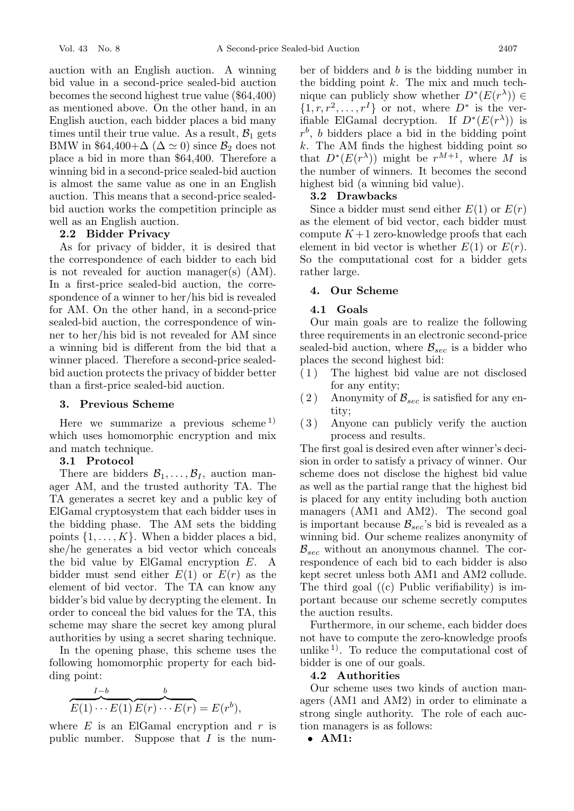auction with an English auction. A winning bid value in a second-price sealed-bid auction becomes the second highest true value (\$64,400) as mentioned above. On the other hand, in an English auction, each bidder places a bid many times until their true value. As a result,  $\mathcal{B}_1$  gets BMW in \$64,400+ $\Delta$  ( $\Delta \simeq 0$ ) since  $\mathcal{B}_2$  does not place a bid in more than \$64,400. Therefore a winning bid in a second-price sealed-bid auction is almost the same value as one in an English auction. This means that a second-price sealedbid auction works the competition principle as well as an English auction.

# **2.2 Bidder Privacy**

As for privacy of bidder, it is desired that the correspondence of each bidder to each bid is not revealed for auction manager(s) (AM). In a first-price sealed-bid auction, the correspondence of a winner to her/his bid is revealed for AM. On the other hand, in a second-price sealed-bid auction, the correspondence of winner to her/his bid is not revealed for AM since a winning bid is different from the bid that a winner placed. Therefore a second-price sealedbid auction protects the privacy of bidder better than a first-price sealed-bid auction.

### **3. Previous Scheme**

Here we summarize a previous scheme<sup>1)</sup> which uses homomorphic encryption and mix and match technique.

#### **3.1 Protocol**

There are bidders  $\mathcal{B}_1,\ldots,\mathcal{B}_I$ , auction manager AM, and the trusted authority TA. The TA generates a secret key and a public key of ElGamal cryptosystem that each bidder uses in the bidding phase. The AM sets the bidding points  $\{1,\ldots,K\}$ . When a bidder places a bid, she/he generates a bid vector which conceals the bid value by ElGamal encryption E. A bidder must send either  $E(1)$  or  $E(r)$  as the element of bid vector. The TA can know any bidder's bid value by decrypting the element. In order to conceal the bid values for the TA, this scheme may share the secret key among plural authorities by using a secret sharing technique.

In the opening phase, this scheme uses the following homomorphic property for each bidding point:

$$
\overbrace{E(1)\cdots E(1)}^{I-b} \overbrace{E(r)\cdots E(r)}^{b} = E(r^{b}),
$$

where  $E$  is an ElGamal encryption and  $r$  is public number. Suppose that  $I$  is the num-

ber of bidders and b is the bidding number in the bidding point  $k$ . The mix and much technique can publicly show whether  $D^*(E(r^{\lambda})) \in$  $\{1, r, r^2, \ldots, r^I\}$  or not, where  $D^*$  is the verifiable ElGamal decryption. If  $D^*(E(r^{\lambda}))$  is  $r<sup>b</sup>$ , b bidders place a bid in the bidding point  $k$ . The AM finds the highest bidding point so that  $D^*(E(r^{\lambda}))$  might be  $r^{M+1}$ , where M is the number of winners. It becomes the second highest bid (a winning bid value).

#### **3.2 Drawbacks**

Since a bidder must send either  $E(1)$  or  $E(r)$ as the element of bid vector, each bidder must compute  $K+1$  zero-knowledge proofs that each element in bid vector is whether  $E(1)$  or  $E(r)$ . So the computational cost for a bidder gets rather large.

# **4. Our Scheme**

# **4.1 Goals**

Our main goals are to realize the following three requirements in an electronic second-price sealed-bid auction, where  $\mathcal{B}_{sec}$  is a bidder who places the second highest bid:

- ( 1 ) The highest bid value are not disclosed for any entity;
- (2) Anonymity of  $\mathcal{B}_{sec}$  is satisfied for any entity;
- ( 3 ) Anyone can publicly verify the auction process and results.

The first goal is desired even after winner's decision in order to satisfy a privacy of winner. Our scheme does not disclose the highest bid value as well as the partial range that the highest bid is placed for any entity including both auction managers (AM1 and AM2). The second goal is important because  $\mathcal{B}_{sec}$ 's bid is revealed as a winning bid. Our scheme realizes anonymity of  $\mathcal{B}_{\text{sec}}$  without an anonymous channel. The correspondence of each bid to each bidder is also kept secret unless both AM1 and AM2 collude. The third goal ((c) Public verifiability) is important because our scheme secretly computes the auction results.

Furthermore, in our scheme, each bidder does not have to compute the zero-knowledge proofs unlike  $^{1)}$ . To reduce the computational cost of bidder is one of our goals.

# **4.2 Authorities**

Our scheme uses two kinds of auction managers (AM1 and AM2) in order to eliminate a strong single authority. The role of each auction managers is as follows:

• **AM1:**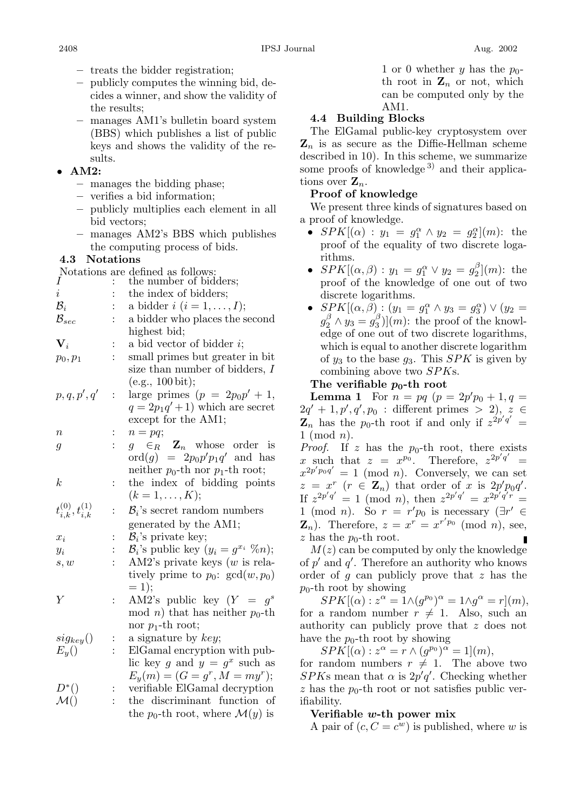- **–** treats the bidder registration;
- **–** publicly computes the winning bid, decides a winner, and show the validity of the results;
- **–** manages AM1's bulletin board system (BBS) which publishes a list of public keys and shows the validity of the results.

# • **AM2:**

- **–** manages the bidding phase;
- **–** verifies a bid information;
- **–** publicly multiplies each element in all bid vectors;
- **–** manages AM2's BBS which publishes the computing process of bids.

# **4.3 Notations**

Notations are defined as follows:

| Ι                              |                | the number of bidders;                                  |
|--------------------------------|----------------|---------------------------------------------------------|
| $\dot{\imath}$                 |                | the index of bidders;                                   |
| $\mathcal{B}_i$                |                | a bidder $i$ $(i = 1, \ldots, I);$                      |
| ${\cal B}_{sec}$               |                | a bidder who places the second                          |
|                                |                | highest bid;                                            |
| $\mathbf{V}_i$                 | $\ddot{\cdot}$ | a bid vector of bidder $i$ ;                            |
| $p_0, p_1$                     |                | small primes but greater in bit                         |
|                                |                | size than number of bidders, $I$                        |
|                                |                | (e.g., 100 bit);                                        |
| p, q, p', q'                   | $\ddot{\cdot}$ | large primes $(p = 2p_0p' + 1,$                         |
|                                |                | $q = 2p_1q' + 1$ which are secret                       |
|                                |                | except for the AM1;                                     |
| $\it n$                        | :              | $n = pq;$                                               |
| 9                              | $\ddot{\cdot}$ | $g \in_R \mathbf{Z}_n$ whose order is                   |
|                                |                | $\mathrm{ord}(g) = 2p_0p'p_1q'$ and has                 |
|                                |                | neither $p_0$ -th nor $p_1$ -th root;                   |
| k                              | $\ddot{\cdot}$ | the index of bidding points                             |
|                                |                | $(k = 1, \ldots, K);$                                   |
| $t_{i,k}^{(0)}, t_{i,k}^{(1)}$ | $\ddot{\cdot}$ | $B_i$ 's secret random numbers                          |
|                                |                | generated by the AM1;                                   |
| $x_i$                          | $\ddot{\cdot}$ | $B_i$ 's private key;                                   |
| $y_i$                          |                | $\mathcal{B}_i$ 's public key $(y_i = g^{x_i} \ \% n);$ |
| s, w                           |                | AM2's private keys $(w \text{ is rela-})$               |
|                                |                | tively prime to $p_0$ : $gcd(w, p_0)$                   |
|                                |                | $= 1);$                                                 |
| Y                              | $\vdots$       | AM2's public key $(Y = g^s)$                            |
|                                |                | mod <i>n</i> ) that has neither $p_0$ -th               |
|                                |                | nor $p_1$ -th root;                                     |
| $sig_{key}()$                  | $\ddot{\cdot}$ | a signature by key;                                     |
| $E_y()$                        |                | ElGamal encryption with pub-                            |
|                                |                | lic key g and $y = g^x$ such as                         |
|                                |                | $E_y(m) = (G = g^r, M = my^r);$                         |
| $D^*()$                        |                | verifiable ElGamal decryption                           |
| $\mathcal{M}()$                |                | the discriminant function of                            |
|                                |                | the $p_0$ -th root, where $\mathcal{M}(y)$ is           |

1 or 0 whether y has the  $p_0$ th root in  $\mathbf{Z}_n$  or not, which can be computed only by the AM1.

# **4.4 Building Blocks**

The ElGamal public-key cryptosystem over  $\mathbf{Z}_n$  is as secure as the Diffie-Hellman scheme described in 10). In this scheme, we summarize some proofs of knowledge<sup>3)</sup> and their applications over  $\mathbf{Z}_n$ .

# **Proof of knowledge**

We present three kinds of signatures based on a proof of knowledge.

- $SPK[(\alpha): y_1 = g_1^{\alpha} \wedge y_2 = g_2^{\alpha}](m)$ : the proof of the equality of two discrete logaproof of the equality of two discrete logarithms.
- $SPK[(\alpha, \beta) : y_1 = g_1^{\alpha} \vee y_2 = g_2^{\beta}] (m)$ : the proof of the knowledge of one out of two proof of the knowledge of one out of two discrete logarithms.
- $SPK[(\alpha, \beta) : (y_1 = g_1^{\alpha} \wedge y_3 = g_3^{\alpha}) \vee (y_2 = g_1^{\beta} \wedge y_3 = g_3^{\beta})$  $g_2^{\beta} \wedge y_3 = g_3^{\beta}$ ](*m*): the proof of the knowledge of one out of two discrete logarithms edge of one out of two discrete logarithms, which is equal to another discrete logarithm of  $y_3$  to the base  $g_3$ . This SPK is given by combining above two SPKs.

# The verifiable  $p_0$ -th root

**Lemma 1** For  $n = pq$   $(p = 2p'p_0 + 1, q =$ <br> $p' + 1, p'$   $q'$   $p_0$  : different primes > 2)  $z \in$  $2q' + 1, p', q', p_0$ : different primes > 2),  $z \in \mathbf{Z}$  has the no-th root if and only if  $z^{2p'q'}$  $\mathbf{Z}_n$  has the p<sub>0</sub>-th root if and only if  $z^{2p'q'} = 1 \pmod{p}$  $1 \pmod{n}$ .

*Proof.* If z has the  $p_0$ -th root, there exists x such that  $z = x^{p_0}$ . Therefore,  $z^{2p'q'} = x^{2p'pq'} - 1 \pmod{n}$ . Conversely we can set  $x^{2p'p_0q'} = 1 \pmod{n}$ . Conversely, we can set  $z = r^r$   $(r \in \mathbb{Z})$  that order of x is  $2n'p_0q'$ .  $z = x^r$  ( $r \in \mathbb{Z}_n$ ) that order of x is  $2p'p_0q'$ .<br>
If  $z^{2p'q'} = 1 \pmod{n}$  then  $z^{2p'q'} = x^{2p'q'r}$ . If  $z^{2p'q'} = 1 \pmod{n}$ , then  $z^{2p'q'} = x^{2p'q'r} = 1 \pmod{n}$ . So  $r = r'p$  is necessary  $(\exists r' \in$ 1 (mod *n*). So  $r = r'p_0$  is necessary  $(\exists r' \in \mathbf{Z})$  Therefore  $z = r^r - r^{r'p_0} \pmod{p}$  see  $\mathbf{Z}_n$ ). Therefore,  $z = x^r = x^{r'p_0} \pmod{n}$ , see, z has the  $p_0$ -th root.

 $M(z)$  can be computed by only the knowledge of p' and q'. Therefore an authority who knows<br>order of g can publicly prove that z has the order of g can publicly prove that z has the  $p_0$ -th root by showing

 $SPK[(\alpha): z^{\alpha} = 1 \wedge (g^{p_0})^{\alpha} = 1 \wedge g^{\alpha} = r](m),$ <br>a random number  $r \neq 1$  Also such an for a random number  $r \neq 1$ . Also, such an authority can publicly prove that z does not have the  $p_0$ -th root by showing

 $SPK[(\alpha): z^{\alpha} = r \wedge (g^{p_0})^{\alpha} = 1](m)$ ,<br>random numbers  $r \neq 1$  The abo

for random numbers  $r \neq 1$ . The above two  $SPK$ s mean that  $\alpha$  is  $2p'q'$ . Checking whether  $\alpha$  has the not pot or not satisfies public verz has the  $p_0$ -th root or not satisfies public verifiability.

# **Verifiable** *w***-th power mix**

A pair of  $(c, C = c^w)$  is published, where w is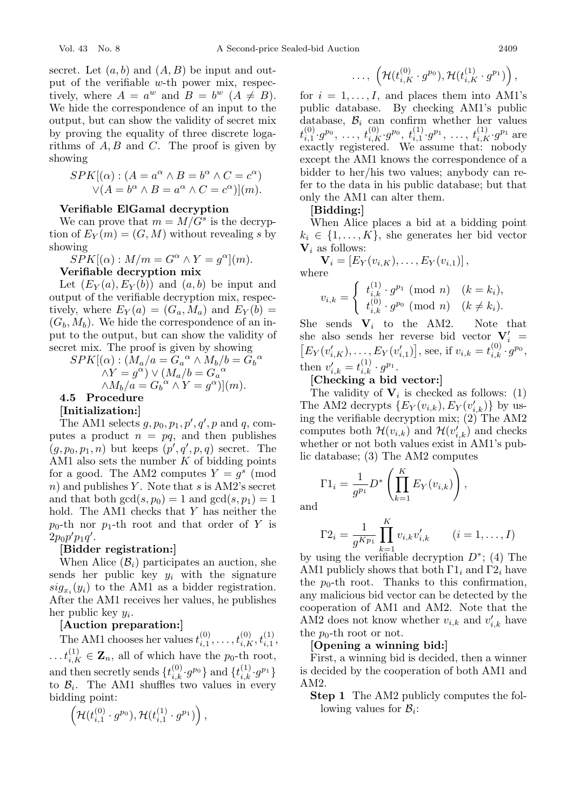secret. Let  $(a, b)$  and  $(A, B)$  be input and output of the verifiable w-th power mix, respectively, where  $A = a^w$  and  $B = b^w$   $(A \neq B)$ . We hide the correspondence of an input to the output, but can show the validity of secret mix by proving the equality of three discrete logarithms of  $A, B$  and  $C$ . The proof is given by showing

$$
SPK[(\alpha) : (A = a^{\alpha} \wedge B = b^{\alpha} \wedge C = c^{\alpha})
$$
  
 
$$
\vee (A = b^{\alpha} \wedge B = a^{\alpha} \wedge C = c^{\alpha})](m).
$$

# **Verifiable ElGamal decryption**

We can prove that  $m = M/G^s$  is the decryption of  $E_Y(m)=(G, M)$  without revealing s by showing

$$
SPK[(\alpha) : M/m = G^{\alpha} \wedge Y = g^{\alpha}](m).
$$
  
Verifiable decryption mix

Let  $(E_Y(a), E_Y(b))$  and  $(a, b)$  be input and output of the verifiable decryption mix, respectively, where  $E_Y(a)=(G_a, M_a)$  and  $E_Y(b)$  =  $(G_b, M_b)$ . We hide the correspondence of an input to the output, but can show the validity of secret mix. The proof is given by showing

$$
SPK[(\alpha) : (\overline{M}_a/a = \overline{G}_a{}^{\alpha} \wedge \overline{M}_b/b = \overline{G}_b{}^{\alpha} \wedge Y = g^{\alpha}) \vee (M_a/b = G_a{}^{\alpha} \wedge M_b/a = G_b{}^{\alpha} \wedge Y = g^{\alpha})](m).
$$
  
**4.5 Procedure**

#### **[Initialization:]**

The AM1 selects  $g, p_0, p_1, p', q', p$  and  $q$ , com-<br>tes a product  $p = pq$  and then publishes putes a product  $n = pq$ , and then publishes  $(g, p_0, p_1, n)$  but keeps  $(p', q', p, q)$  secret. The AM1 also sets the number K of bidding points AM1 also sets the number  $K$  of bidding points for a good. The AM2 computes  $Y = g<sup>s</sup>$  (mod  $n)$  and publishes Y. Note that s is AM2's secret and that both  $gcd(s, p_0) = 1$  and  $gcd(s, p_1) = 1$ hold. The AM1 checks that Y has neither the  $p_0$ -th nor  $p_1$ -th root and that order of Y is  $2p_0p'p_1q'.$ [Bidde

#### **[Bidder registration:]**

When Alice  $(\mathcal{B}_i)$  participates an auction, she sends her public key  $y_i$  with the signature  $sig_{x_i}(y_i)$  to the AM1 as a bidder registration. After the AM1 receives her values, he publishes her public key  $y_i$ .<br>
[**Auction preparation:**]

The AM1 chooses her values  $t_{i,1}^{(0)}, \ldots, t_{i,K}^{(0)}, t_{i,1}^{(1)},$  $\ldots t_{i,K}^{(1)} \in \mathbf{Z}_n$ , all of which have the p<sub>0</sub>-th root, and then secretly sends  $\{t_{i,k}^{(0)}, g^{p_0}\}\$  and  $\{t_{i,k}^{(1)}, g^{p_1}\}\$  to  $\mathcal{B}_i$ . The AM1 shuffles two values in every to  $\mathcal{B}_i$ . The AM1 shuffles two values in every bidding point:

$$
\left(\mathcal{H}(t_{i,1}^{(0)}\cdot g^{p_0}),\mathcal{H}(t_{i,1}^{(1)}\cdot g^{p_1})\right),\,
$$

$$
\ldots, \; \left(\mathcal{H}(t_{i,K}^{(0)}\cdot g^{p_0}),\mathcal{H}(t_{i,K}^{(1)}\cdot g^{p_1})\right),
$$

for  $i = 1, \ldots, I$ , and places them into AM1's public database. By checking AM1's public database,  $B_i$  can confirm whether her values .<br>P  $t_{i,1}^{(0)} \cdot g^{p_0}, \ldots, t_{i,K}^{(0)} \cdot g^{p_0}, t_{i,1}^{(1)} \cdot g^{p_1}, \ldots, t_{i,K}^{(1)} \cdot g^{p_1}$  are exactly registered. We assume that: nobody except the AM1 knows the correspondence of a bidder to her/his two values; anybody can refer to the data in his public database; but that only the AM1 can alter them.

# **[Bidding:]**

When Alice places a bid at a bidding point  $k_i \in \{1, \ldots, K\}$ , she generates her bid vector **V**<sup>i</sup> as follows:

$$
\mathbf{V}_i = [E_Y(v_{i,K}), \dots, E_Y(v_{i,1})],
$$
  
where

$$
v_{i,k} = \begin{cases} t_{i,k}^{(1)} \cdot g^{p_1} \pmod{n} & (k = k_i), \\ t_{i,k}^{(0)} \cdot g^{p_0} \pmod{n} & (k \neq k_i). \end{cases}
$$

She sends  $\mathbf{V}_i$  to the AM2. Note that she also sends her reverse bid vector  $V_i' =$ she also sends her reverse bid vector  $\mathbf{V}'_i = [E_Y(v'_{i, K}), \dots, E_Y(v'_{i, 1})]$ , see, if  $v_{i, k} = t_{i, k}^{(0)} \cdot q^{p_0}$ ,  $E_Y(v'_{i,K}), \ldots, E_Y(v'_{i,1})$ , see, if  $v_{i,k} = t_{i,k}^{(0)} \cdot g^{p_0}$ , then  $v'_{i,k} = t^{(1)}_{i,k} \cdot g^{p_1}$ .<br>[Checking a bid]

# **[Checking a bid vector:]**

The validity of  $V_i$  is checked as follows: (1) The AM2 decrypts  $\{E_Y(v_{i,k}), E_Y(v'_{i,k})\}$  by us-<br>ing the verifiable decryption mix: (2) The AM2 ing the verifiable decryption mix; (2) The AM2 computes both  $\mathcal{H}(v_{i,k})$  and  $\mathcal{H}(v'_{i,k})$  and checks<br>whether or not both values exist in AM1's pubwhether or not both values exist in AM1's public database; (3) The AM2 computes

$$
\Gamma 1_i = \frac{1}{g^{p_1}} D^* \left( \prod_{k=1}^K E_Y(v_{i,k}) \right),
$$

and

$$
\Gamma 2_i = \frac{1}{g^{K p_1}} \prod_{k=1}^{K} v_{i,k} v'_{i,k} \qquad (i = 1, ..., I)
$$

 $g^{Kp_1}$   $\prod_{k=1}^{\infty} c_{i,k} c_{i,k}$   $(s-1, \ldots, 1)$ <br>by using the verifiable decryption  $D^*$ ; (4) The<br>AM1 publicly shows that both  $\Gamma$ 1: and  $\Gamma$ 2: have AM1 publicly shows that both  $\Gamma1_i$  and  $\Gamma2_i$  have the  $p_0$ -th root. Thanks to this confirmation, any malicious bid vector can be detected by the cooperation of AM1 and AM2. Note that the AM2 does not know whether  $v_{i,k}$  and  $v'_{i,k}$  have<br>the notation or not the  $p_0$ -th root or not.

### **[Opening a winning bid:]**

First, a winning bid is decided, then a winner is decided by the cooperation of both AM1 and AM2.

**Step 1** The AM2 publicly computes the following values for  $B_i$ :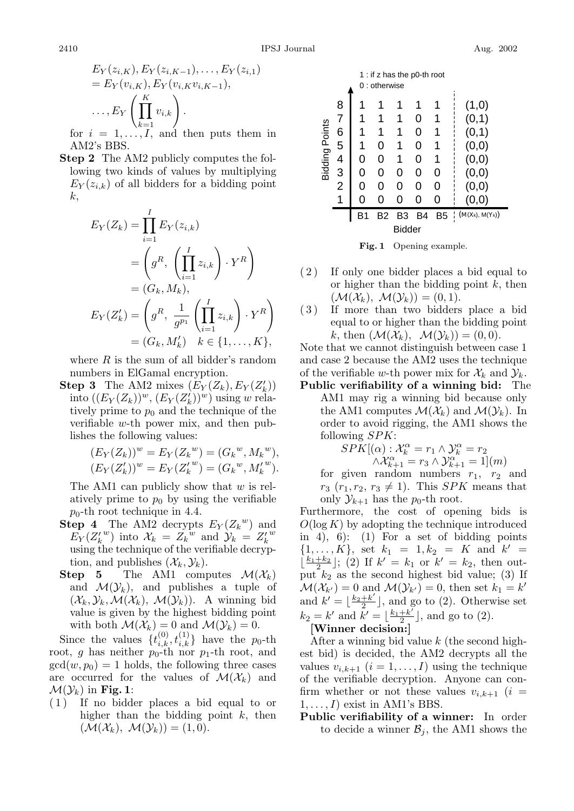$$
E_Y(z_{i,K}), E_Y(z_{i,K-1}), \dots, E_Y(z_{i,1})
$$
  
=  $E_Y(v_{i,K}), E_Y(v_{i,K}v_{i,K-1}),$   
 $\dots, E_Y\left(\prod_{k=1}^K v_{i,k}\right).$   
for  $i = 1, \dots, I$ , and then puts them in

AM2's BBS.

**Step 2** The AM2 publicly computes the following two kinds of values by multiplying  $E_Y(z_{i,k})$  of all bidders for a bidding point k,

$$
E_Y(Z_k) = \prod_{i=1}^I E_Y(z_{i,k})
$$
  
=  $\left(g^R, \left(\prod_{i=1}^I z_{i,k}\right) \cdot Y^R\right)$   
=  $(G_k, M_k),$   

$$
E_Y(Z'_k) = \left(g^R, \frac{1}{g^{p_1}}\left(\prod_{i=1}^I z_{i,k}\right) \cdot Y^R\right)
$$
  
=  $(G_k, M'_k)$   $k \in \{1, ..., K\},$ 

where  $R$  is the sum of all bidder's random numbers in ElGamal encryption.

**Step 3** The AM2 mixes  $(E_Y(Z_k), E_Y(Z'_k))$ <br>into  $(E_Y(Z_k))^w$   $(E_Y(Z'_k))^w$  using w relainto  $((E_Y(Z_k))^w, (E_Y(Z_k^{\prime}))^w)$  using w rela-<br>tively prime to  $p_0$  and the technique of the tively prime to  $p_0$  and the technique of the verifiable w-th power mix, and then publishes the following values:

$$
(E_Y(Z_k))^w = E_Y(Z_k^w) = (G_k^w, M_k^w),
$$
  

$$
(E_Y(Z'_k))^w = E_Y(Z'_k^w) = (G_k^w, M'_k^w).
$$

The AM1 can publicly show that  $w$  is relatively prime to  $p_0$  by using the verifiable  $p_0$ -th root technique in 4.4.

- **Step 4** The AM2 decrypts  $E_Y(Z_k^w)$  and  $E_Y(Z_k^w)$  into  $X_t = Z_t^w$  and  $Y_t = Z_t^w$  $\hat{E_Y}(Z_k^{w})$  into  $\mathcal{X}_k = Z_k^{w}$  and  $\mathcal{Y}_k = Z_k^{w}$ <br>using the technique of the verifiable decrypusing the technique of the verifiable decryption, and publishes  $(\mathcal{X}_k, \mathcal{Y}_k)$ .<br>**Step 5** The AM1 comp
- The AM1 computes  $\mathcal{M}(\mathcal{X}_k)$ and  $\mathcal{M}(\mathcal{Y}_k)$ , and publishes a tuple of  $(\mathcal{X}_k, \mathcal{Y}_k, \mathcal{M}(\mathcal{X}_k), \mathcal{M}(\mathcal{Y}_k)).$  A winning bid value is given by the highest bidding point with both  $\mathcal{M}(\mathcal{X}_k) = 0$  and  $\mathcal{M}(\mathcal{Y}_k) = 0$ .

Since the values  $\{t_{i,k}^{(0)}, t_{i,k}^{(1)}\}$  have the p<sub>0</sub>-th<br>ot *a* has neither p<sub>0-</sub>th por n<sub>1</sub>-th root, and root, g has neither  $p_0$ -th nor  $p_1$ -th root, and  $gcd(w, p_0) = 1$  holds, the following three cases are occurred for the values of  $\mathcal{M}(\mathcal{X}_k)$  and  $\mathcal{M}(\mathcal{Y}_k)$  in **Fig. 1**:

( 1 ) If no bidder places a bid equal to or higher than the bidding point  $k$ , then  $(\mathcal{M}(\mathcal{X}_k), \mathcal{M}(\mathcal{Y}_k)) = (1, 0).$ 



**Fig. 1** Opening example.

- ( 2 ) If only one bidder places a bid equal to or higher than the bidding point  $k$ , then  $(\mathcal{M}(\mathcal{X}_k), \mathcal{M}(\mathcal{Y}_k)) = (0, 1).$
- ( 3 ) If more than two bidders place a bid equal to or higher than the bidding point k, then  $(\mathcal{M}(\mathcal{X}_k), \mathcal{M}(\mathcal{Y}_k)) = (0, 0).$

Note that we cannot distinguish between case 1 and case 2 because the AM2 uses the technique of the verifiable w-th power mix for  $\mathcal{X}_k$  and  $\mathcal{Y}_k$ .

**Public verifiability of a winning bid:** The AM1 may rig a winning bid because only the AM1 computes  $\mathcal{M}(\mathcal{X}_k)$  and  $\mathcal{M}(\mathcal{Y}_k)$ . In order to avoid rigging, the AM1 shows the following  $SPK$ :<br> $SPK[(\alpha):$ 

$$
SPK[(\alpha): \mathcal{X}_{k+1}^{\alpha} = r_1 \land \mathcal{Y}_{k}^{\alpha} = r_2
$$
  
 
$$
\land \mathcal{X}_{k+1}^{\alpha} = r_3 \land \mathcal{Y}_{k+1}^{\alpha} = 1](m)
$$
  
given random numbers r, r.

for given random numbers  $r_1$ ,  $r_2$  and<br> $r_3$   $(r_1, r_2, r_3 \neq 1)$  This *SPK* means that  $r_3$   $(r_1, r_2, r_3 \neq 1)$ . This *SPK* means that only  $\mathcal{Y}_{k+1}$  has the  $p_0$ -th root.

Furthermore, the cost of opening bids is  $O(\log K)$  by adopting the technique introduced in 4), 6): (1) For a set of bidding points  $\{1,\ldots,K\}$ , set  $k_1 = 1, k_2 = K$  and  $k' =$  $\lfloor \frac{k_1+k_2}{2} \rfloor$ ; (2) If  $k' = k_1$  or  $k' = k_2$ , then output  $k_2$  as the second highest bid value; (3) If  $\mathcal{M}(\mathcal{X}_{k'})=0$  and  $\mathcal{M}(\mathcal{Y}_{k'})=0$ , then set  $k_1=k'$ and  $k' = \lfloor \frac{k_2 + k'}{2} \rfloor$ , and go to (2). Otherwise set  $k = k'$  and  $k' = \lfloor k_1 + k' \rfloor$  and go to (2).  $k_2 = k'$  and  $k' = \lfloor \frac{k_1+k'}{2} \rfloor$ , and go to (2).<br>[Winner decision.]

# **[Winner decision:]**

After a winning bid value  $k$  (the second highest bid) is decided, the AM2 decrypts all the values  $v_{i,k+1}$   $(i = 1, \ldots, I)$  using the technique of the verifiable decryption. Anyone can confirm whether or not these values  $v_{i,k+1}$  (i =  $1, \ldots, I$ ) exist in AM1's BBS.

**Public verifiability of a winner:** In order to decide a winner  $\mathcal{B}_j$ , the AM1 shows the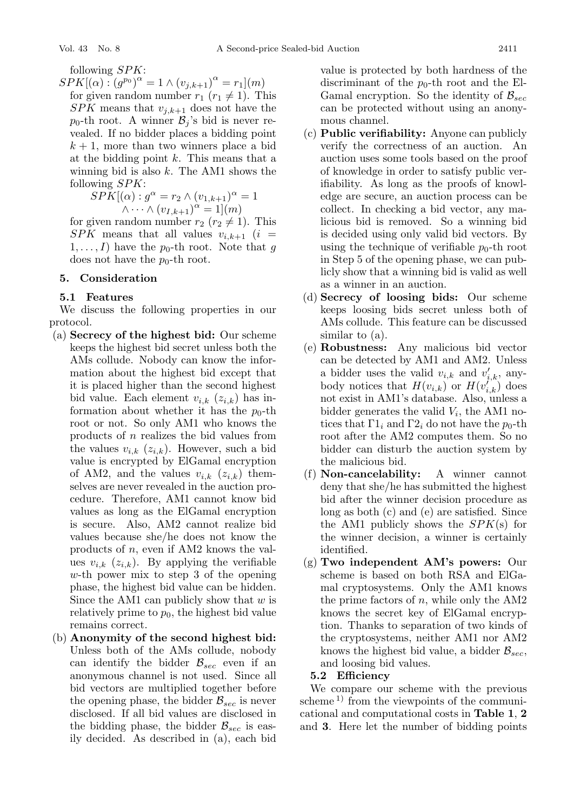following SPK:

 $SPK[(\alpha) : (g^{p_0})^{\alpha} = 1 \wedge (v_{j,k+1})^{\alpha} = r_1](m)$ <br>for given random number  $r_1$  ( $r_2 \neq 1$ ) Th for given random number  $r_1$  ( $r_1 \neq 1$ ). This SPK means that  $v_{j,k+1}$  does not have the  $p_0$ -th root. A winner  $\mathcal{B}_j$ 's bid is never revealed. If no bidder places a bidding point  $k + 1$ , more than two winners place a bid at the bidding point  $k$ . This means that a winning bid is also  $k$ . The AM1 shows the following  $SPK$ :<br> $SPK[(\alpha): \alpha]$ 

$$
SPK[(\alpha) : g^{\alpha} = r_2 \wedge (v_{1,k+1})^{\alpha} = 1
$$
  
 
$$
\wedge \cdots \wedge (v_{1,k+1})^{\alpha} = 1](m)
$$
  
Given random number  $r_2$  ( $r_2 \neq 1$ )

for given random number  $r_2$  ( $r_2 \neq 1$ ). This  $SPK$  means that all values  $v_{i,t+1}$  ( $i =$  $SPK$  means that all values  $v_{i,k+1}$  (i =  $1,\ldots,I)$  have the  $p_0$ -th root. Note that g does not have the  $p_0$ -th root.

# **5. Consideration**

# **5.1 Features**

We discuss the following properties in our protocol.

- (a) **Secrecy of the highest bid:** Our scheme keeps the highest bid secret unless both the AMs collude. Nobody can know the information about the highest bid except that it is placed higher than the second highest bid value. Each element  $v_{i,k}$  ( $z_{i,k}$ ) has information about whether it has the  $p_0$ -th root or not. So only AM1 who knows the products of n realizes the bid values from the values  $v_{i,k}$  ( $z_{i,k}$ ). However, such a bid value is encrypted by ElGamal encryption of AM2, and the values  $v_{i,k}$  ( $z_{i,k}$ ) themselves are never revealed in the auction procedure. Therefore, AM1 cannot know bid values as long as the ElGamal encryption is secure. Also, AM2 cannot realize bid values because she/he does not know the products of n, even if AM2 knows the values  $v_{i,k}$  ( $z_{i,k}$ ). By applying the verifiable w-th power mix to step 3 of the opening phase, the highest bid value can be hidden. Since the AM1 can publicly show that  $w$  is relatively prime to  $p_0$ , the highest bid value remains correct.
- (b) **Anonymity of the second highest bid:** Unless both of the AMs collude, nobody can identify the bidder  $\mathcal{B}_{sec}$  even if an anonymous channel is not used. Since all bid vectors are multiplied together before the opening phase, the bidder  $\mathcal{B}_{sec}$  is never disclosed. If all bid values are disclosed in the bidding phase, the bidder  $\mathcal{B}_{sec}$  is easily decided. As described in (a), each bid

value is protected by both hardness of the discriminant of the  $p_0$ -th root and the El-Gamal encryption. So the identity of  $\mathcal{B}_{sec}$ can be protected without using an anonymous channel.

- (c) **Public verifiability:** Anyone can publicly verify the correctness of an auction. An auction uses some tools based on the proof of knowledge in order to satisfy public verifiability. As long as the proofs of knowledge are secure, an auction process can be collect. In checking a bid vector, any malicious bid is removed. So a winning bid is decided using only valid bid vectors. By using the technique of verifiable  $p_0$ -th root in Step 5 of the opening phase, we can publicly show that a winning bid is valid as well as a winner in an auction.
- (d) **Secrecy of loosing bids:** Our scheme keeps loosing bids secret unless both of AMs collude. This feature can be discussed similar to (a).
- (e) **Robustness:** Any malicious bid vector can be detected by AM1 and AM2. Unless a bidder uses the valid  $v_{i,k}$  and  $v'_{i,k}$ , any-<br>body notices that  $H(v_{i,k})$  or  $H(v'_{i,k})$  does body notices that  $H(v_{i,k})$  or  $H(v'_{i,k})$  does<br>not exist in AM1's database. Also, unless a not exist in AM1's database. Also, unless a bidder generates the valid  $V_i$ , the AM1 notices that  $\Gamma 1_i$  and  $\Gamma 2_i$  do not have the  $p_0$ -th root after the AM2 computes them. So no bidder can disturb the auction system by the malicious bid.
- (f) **Non-cancelability:** A winner cannot deny that she/he has submitted the highest bid after the winner decision procedure as long as both (c) and (e) are satisfied. Since the AM1 publicly shows the  $SPK(s)$  for the winner decision, a winner is certainly identified.
- (g) **Two independent AM's powers:** Our scheme is based on both RSA and ElGamal cryptosystems. Only the AM1 knows the prime factors of  $n$ , while only the AM2 knows the secret key of ElGamal encryption. Thanks to separation of two kinds of the cryptosystems, neither AM1 nor AM2 knows the highest bid value, a bidder  $\mathcal{B}_{sec}$ , and loosing bid values.

# **5.2 Efficiency**

We compare our scheme with the previous scheme<sup>1)</sup> from the viewpoints of the communicational and computational costs in **Table 1**, **2** and **3**. Here let the number of bidding points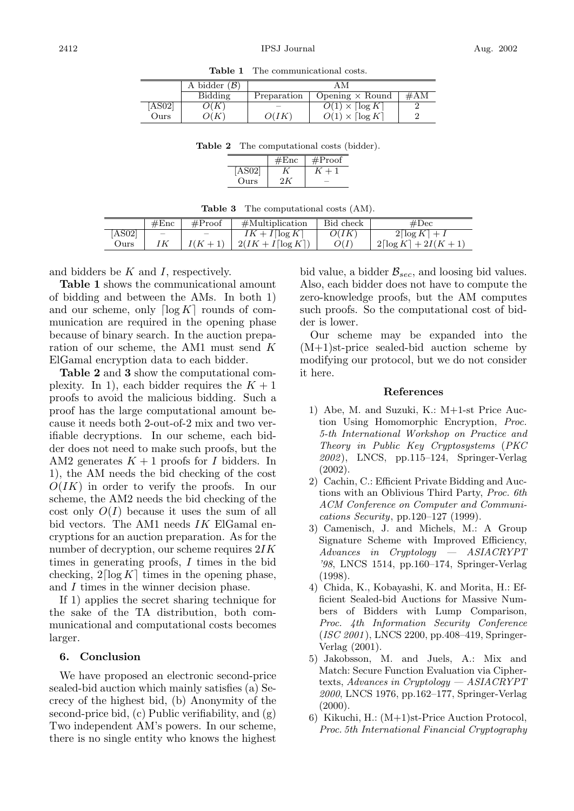|      | A bidder $(\mathcal{B})$ |             |                                               |        |
|------|--------------------------|-------------|-----------------------------------------------|--------|
|      | Bidding                  | Preparation | Opening $\times$ Round                        | $\#AM$ |
| AS02 | O(K                      |             | $\overline{O(1)} \times \lceil \log K \rceil$ |        |
| Ours | 7(K                      | O(IK)       | $O(1) \times \lceil \log K \rceil$            | c      |

**Table 1** The communicational costs.

**Table 2** The computational costs (bidder).

|             | Enc | #Proof |
|-------------|-----|--------|
| <b>RO21</b> |     |        |
| Ours        |     |        |

| <b>Table 3</b> The computational costs (AM). |  |
|----------------------------------------------|--|
|                                              |  |

|        | #Enc                     | #Proof | $\#$ Multiplication | Bid check | #Dec                              |
|--------|--------------------------|--------|---------------------|-----------|-----------------------------------|
| [AS02] | $\overline{\phantom{a}}$ | $\sim$ | $IK + I[\log K]$    | O(IK)     | $2\lceil\log K\rceil +$ .         |
| Ours   |                          |        | $2(IK + I[\log K])$ |           | $2\lceil \log K \rceil + 2I(K+1)$ |

and bidders be  $K$  and  $I$ , respectively.

**Table 1** shows the communicational amount of bidding and between the AMs. In both 1) and our scheme, only  $\lceil \log K \rceil$  rounds of communication are required in the opening phase because of binary search. In the auction preparation of our scheme, the AM1 must send K ElGamal encryption data to each bidder.

**Table 2** and **3** show the computational complexity. In 1), each bidder requires the  $K + 1$ proofs to avoid the malicious bidding. Such a proof has the large computational amount because it needs both 2-out-of-2 mix and two verifiable decryptions. In our scheme, each bidder does not need to make such proofs, but the AM2 generates  $K + 1$  proofs for I bidders. In 1), the AM needs the bid checking of the cost  $O(IK)$  in order to verify the proofs. In our scheme, the AM2 needs the bid checking of the cost only  $O(I)$  because it uses the sum of all bid vectors. The AM1 needs  $IK$  ElGamal encryptions for an auction preparation. As for the number of decryption, our scheme requires  $2IK$ times in generating proofs, I times in the bid checking,  $2\lceil \log K \rceil$  times in the opening phase, and I times in the winner decision phase.

If 1) applies the secret sharing technique for the sake of the TA distribution, both communicational and computational costs becomes larger.

#### **6. Conclusion**

We have proposed an electronic second-price sealed-bid auction which mainly satisfies (a) Secrecy of the highest bid, (b) Anonymity of the second-price bid, (c) Public verifiability, and (g) Two independent AM's powers. In our scheme, there is no single entity who knows the highest

bid value, a bidder  $\mathcal{B}_{sec}$ , and loosing bid values. Also, each bidder does not have to compute the zero-knowledge proofs, but the AM computes such proofs. So the computational cost of bidder is lower.

Our scheme may be expanded into the (M+1)st-price sealed-bid auction scheme by modifying our protocol, but we do not consider it here.

# **References**

- 1) Abe, M. and Suzuki, K.: M+1-st Price Auction Using Homomorphic Encryption, *Proc. 5-th International Workshop on Practice and Theory in Public Key Cryptosystems* (*PKC 2002*), LNCS, pp.115–124, Springer-Verlag (2002).
- 2) Cachin, C.: Efficient Private Bidding and Auctions withan Oblivious Third Party, *Proc. 6th ACM Conference on Computer and Communications Security*, pp.120–127 (1999).
- 3) Camenisch, J. and Michels, M.: A Group Signature Scheme with Improved Efficiency, *Advances in Cryptology — ASIACRYPT '98*, LNCS 1514, pp.160–174, Springer-Verlag (1998).
- 4) Chida, K., Kobayashi, K. and Morita, H.: Efficient Sealed-bid Auctions for Massive Numbers of Bidders with Lump Comparison, *Proc. 4th Information Security Conference* (*ISC 2001*), LNCS 2200, pp.408–419, Springer-Verlag (2001).
- 5) Jakobsson, M. and Juels, A.: Mix and Match: Secure Function Evaluation via Ciphertexts, *Advances in Cryptology — ASIACRYPT 2000*, LNCS 1976, pp.162–177, Springer-Verlag  $(2000).$
- 6) Kikuchi, H.: (M+1)st-Price Auction Protocol, *Proc. 5th International Financial Cryptography*